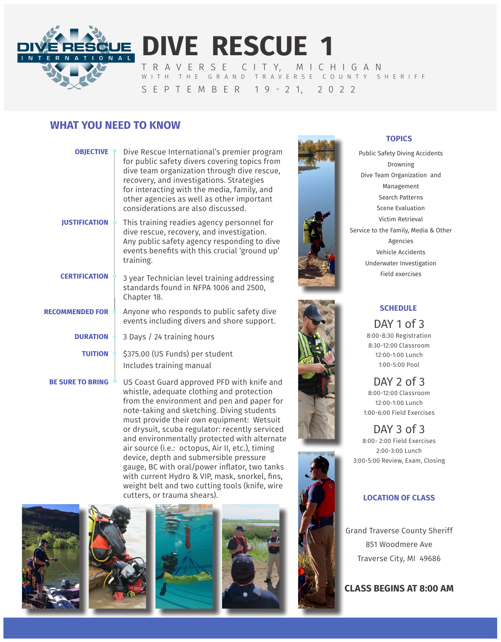

**DIVE RESCUE 1** T R A V E R S E C I T Y, M I C H I G A N WITH THE GRAND TRAVERSE COUNTY SHERIFF

# S E P T E M B E R 1 9 - 2 1, 2 0 2 2

# **WHAT YOU NEED TO KNOW**

| <b>OBJECTIVE</b>        | Dive Rescue International's premier program<br>for public safety divers covering topics from<br>dive team organization through dive rescue,<br>recovery, and investigations. Strategies<br>for interacting with the media, family, and<br>other agencies as well as other important<br>considerations are also discussed. |
|-------------------------|---------------------------------------------------------------------------------------------------------------------------------------------------------------------------------------------------------------------------------------------------------------------------------------------------------------------------|
| <b>IUSTIFICATION</b>    | This training readies agency personnel for<br>dive rescue, recovery, and investigation.<br>Any public safety agency responding to dive<br>events benefits with this crucial 'ground up'<br>training.                                                                                                                      |
| <b>CERTIFICATION</b>    | 3 year Technician level training addressing<br>standards found in NFPA 1006 and 2500,<br>Chapter 18.                                                                                                                                                                                                                      |
| <b>RECOMMENDED FOR</b>  | Anyone who responds to public safety dive<br>events including divers and shore support.                                                                                                                                                                                                                                   |
| <b>DURATION</b>         | 3 Days / 24 training hours                                                                                                                                                                                                                                                                                                |
| <b>TUITION</b>          | \$375.00 (US Funds) per student<br>Includes training manual                                                                                                                                                                                                                                                               |
| <b>BE SURE TO BRING</b> | US Coast Guard approved PFD with knife and<br>whistle adequate clothing and protection                                                                                                                                                                                                                                    |

whistle, adequate clothing and protection from the environment and pen and paper for note-taking and sketching. Diving students must provide their own equipment: Wetsuit or drysuit, scuba regulator: recently serviced and environmentally protected with alternate air source (i.e.: octopus, Air II, etc.), timing device, depth and submersible pressure gauge, BC with oral/power inflator, two tanks with current Hydro & VIP, mask, snorkel, fins, weight belt and two cutting tools (knife, wire cutters, or trauma shears).











### **TOPICS**

Public Safety Diving Accidents Drowning Dive Team Organization and Management Search Patterns Scene Evaluation Victim Retrieval Service to the Family, Media & Other Agencies Vehicle Accidents Underwater Investigation Field exercises



## **SCHEDULE**

DAY 1 of 3 8:00-8:30 Registration 8:30-12:00 Classroom 12:00-1:00 Lunch 1:00-5:00 Pool

DAY 2 of 3 8:00-12:00 Classroom 12:00-1:00 Lunch 1:00-6:00 Field Exercises

DAY 3 of 3 8:00- 2:00 Field Exercises 2:00-3:00 Lunch 3:00-5:00 Review, Exam, Closing

### **LOCATION OF CLASS**

Grand Traverse County Sheriff 851 Woodmere Ave Traverse City, MI 49686

**CLASS BEGINS AT 8:00 AM**